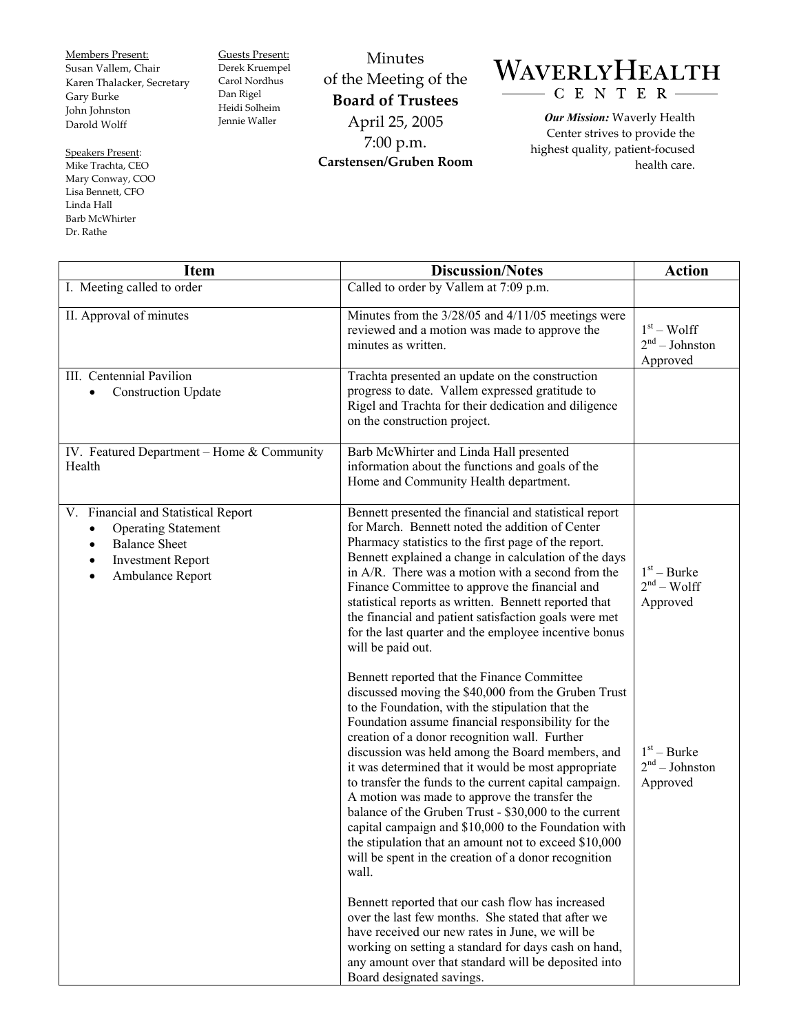Members Present: Susan Vallem, Chair Karen Thalacker, Secretary Gary Burke John Johnston Darold Wolff

Speakers Present: Mike Trachta, CEO Mary Conway, COO Lisa Bennett, CFO Linda Hall Barb McWhirter Dr. Rathe

Guests Present: Derek Kruempel Carol Nordhus Dan Rigel Heidi Solheim Jennie Waller

Minutes of the Meeting of the **Board of Trustees**  April 25, 2005 7:00 p.m. **Carstensen/Gruben Room** 

## WAVERLYHEALTH  $- C E N T E R -$

*Our Mission:* Waverly Health Center strives to provide the highest quality, patient-focused health care.

| <b>Item</b>                                                                                                                                                         | <b>Discussion/Notes</b>                                                                                                                                                                                                                                                                                                                                                                                                                                                                                                                                                                                                                                                                                                                                                                                                                                                                                                                                                 | <b>Action</b>                                                                              |
|---------------------------------------------------------------------------------------------------------------------------------------------------------------------|-------------------------------------------------------------------------------------------------------------------------------------------------------------------------------------------------------------------------------------------------------------------------------------------------------------------------------------------------------------------------------------------------------------------------------------------------------------------------------------------------------------------------------------------------------------------------------------------------------------------------------------------------------------------------------------------------------------------------------------------------------------------------------------------------------------------------------------------------------------------------------------------------------------------------------------------------------------------------|--------------------------------------------------------------------------------------------|
| I. Meeting called to order                                                                                                                                          | Called to order by Vallem at 7:09 p.m.                                                                                                                                                                                                                                                                                                                                                                                                                                                                                                                                                                                                                                                                                                                                                                                                                                                                                                                                  |                                                                                            |
| II. Approval of minutes                                                                                                                                             | Minutes from the 3/28/05 and 4/11/05 meetings were<br>reviewed and a motion was made to approve the<br>minutes as written.                                                                                                                                                                                                                                                                                                                                                                                                                                                                                                                                                                                                                                                                                                                                                                                                                                              | $1st - Wolf$<br>$2nd - Johnston$<br>Approved                                               |
| III. Centennial Pavilion<br><b>Construction Update</b><br>$\bullet$                                                                                                 | Trachta presented an update on the construction<br>progress to date. Vallem expressed gratitude to<br>Rigel and Trachta for their dedication and diligence<br>on the construction project.                                                                                                                                                                                                                                                                                                                                                                                                                                                                                                                                                                                                                                                                                                                                                                              |                                                                                            |
| IV. Featured Department - Home & Community<br>Health                                                                                                                | Barb McWhirter and Linda Hall presented<br>information about the functions and goals of the<br>Home and Community Health department.                                                                                                                                                                                                                                                                                                                                                                                                                                                                                                                                                                                                                                                                                                                                                                                                                                    |                                                                                            |
| V. Financial and Statistical Report<br><b>Operating Statement</b><br>$\bullet$<br><b>Balance Sheet</b><br>$\bullet$<br><b>Investment Report</b><br>Ambulance Report | Bennett presented the financial and statistical report<br>for March. Bennett noted the addition of Center<br>Pharmacy statistics to the first page of the report.<br>Bennett explained a change in calculation of the days<br>in A/R. There was a motion with a second from the<br>Finance Committee to approve the financial and<br>statistical reports as written. Bennett reported that<br>the financial and patient satisfaction goals were met<br>for the last quarter and the employee incentive bonus<br>will be paid out.<br>Bennett reported that the Finance Committee<br>discussed moving the \$40,000 from the Gruben Trust<br>to the Foundation, with the stipulation that the<br>Foundation assume financial responsibility for the<br>creation of a donor recognition wall. Further<br>discussion was held among the Board members, and<br>it was determined that it would be most appropriate<br>to transfer the funds to the current capital campaign. | $1st - Burke$<br>$2nd - Wolf$<br>Approved<br>$1st - Burke$<br>$2nd - Johnston$<br>Approved |
|                                                                                                                                                                     | A motion was made to approve the transfer the<br>balance of the Gruben Trust - \$30,000 to the current<br>capital campaign and \$10,000 to the Foundation with<br>the stipulation that an amount not to exceed \$10,000<br>will be spent in the creation of a donor recognition<br>wall.<br>Bennett reported that our cash flow has increased<br>over the last few months. She stated that after we<br>have received our new rates in June, we will be<br>working on setting a standard for days cash on hand,<br>any amount over that standard will be deposited into<br>Board designated savings.                                                                                                                                                                                                                                                                                                                                                                     |                                                                                            |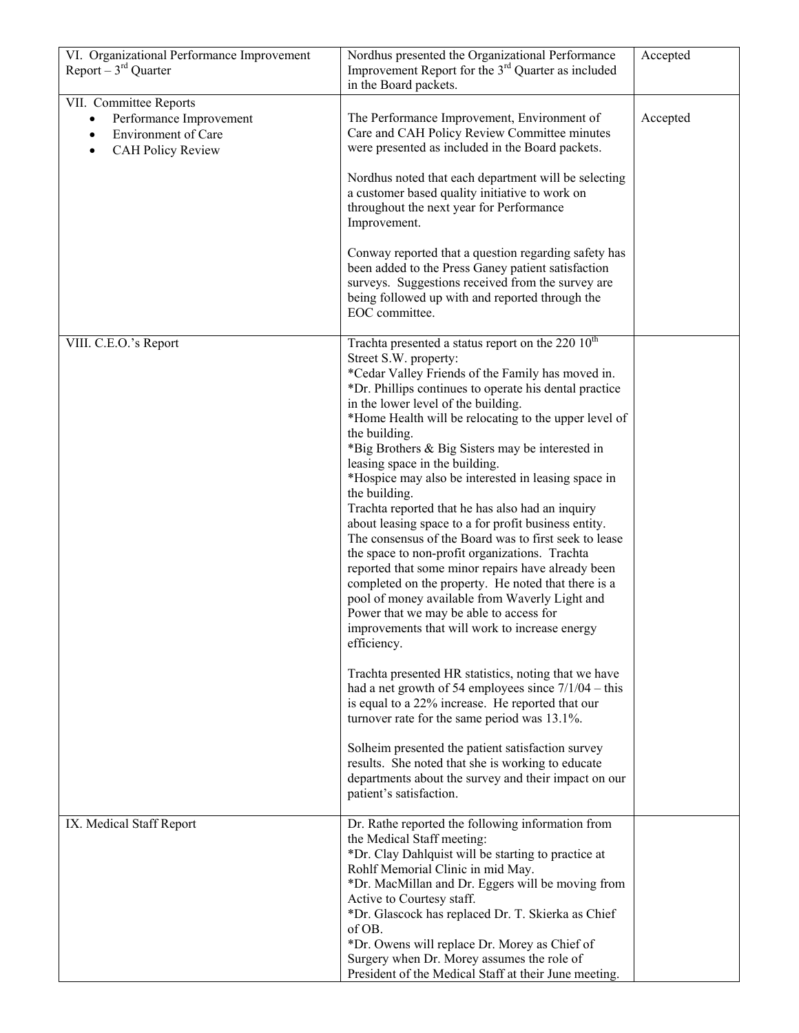| VI. Organizational Performance Improvement<br>Report $-3^{rd}$ Quarter                                            | Nordhus presented the Organizational Performance<br>Improvement Report for the 3 <sup>rd</sup> Quarter as included<br>in the Board packets.                                                                                                                                                                                                                                                                                                                                                                                                                                                                                                                                                                                                                                                                                                                                                                                                                                            | Accepted |
|-------------------------------------------------------------------------------------------------------------------|----------------------------------------------------------------------------------------------------------------------------------------------------------------------------------------------------------------------------------------------------------------------------------------------------------------------------------------------------------------------------------------------------------------------------------------------------------------------------------------------------------------------------------------------------------------------------------------------------------------------------------------------------------------------------------------------------------------------------------------------------------------------------------------------------------------------------------------------------------------------------------------------------------------------------------------------------------------------------------------|----------|
| VII. Committee Reports<br>Performance Improvement<br>Environment of Care<br><b>CAH Policy Review</b><br>$\bullet$ | The Performance Improvement, Environment of<br>Care and CAH Policy Review Committee minutes<br>were presented as included in the Board packets.<br>Nordhus noted that each department will be selecting<br>a customer based quality initiative to work on<br>throughout the next year for Performance<br>Improvement.<br>Conway reported that a question regarding safety has<br>been added to the Press Ganey patient satisfaction<br>surveys. Suggestions received from the survey are<br>being followed up with and reported through the<br>EOC committee.                                                                                                                                                                                                                                                                                                                                                                                                                          | Accepted |
| VIII. C.E.O.'s Report                                                                                             | Trachta presented a status report on the 220 10 <sup>th</sup><br>Street S.W. property:<br>*Cedar Valley Friends of the Family has moved in.<br>*Dr. Phillips continues to operate his dental practice<br>in the lower level of the building.<br>*Home Health will be relocating to the upper level of<br>the building.<br>*Big Brothers & Big Sisters may be interested in<br>leasing space in the building.<br>*Hospice may also be interested in leasing space in<br>the building.<br>Trachta reported that he has also had an inquiry<br>about leasing space to a for profit business entity.<br>The consensus of the Board was to first seek to lease<br>the space to non-profit organizations. Trachta<br>reported that some minor repairs have already been<br>completed on the property. He noted that there is a<br>pool of money available from Waverly Light and<br>Power that we may be able to access for<br>improvements that will work to increase energy<br>efficiency. |          |
|                                                                                                                   | Trachta presented HR statistics, noting that we have<br>had a net growth of 54 employees since $7/1/04 -$ this<br>is equal to a 22% increase. He reported that our<br>turnover rate for the same period was 13.1%.<br>Solheim presented the patient satisfaction survey<br>results. She noted that she is working to educate<br>departments about the survey and their impact on our<br>patient's satisfaction.                                                                                                                                                                                                                                                                                                                                                                                                                                                                                                                                                                        |          |
| IX. Medical Staff Report                                                                                          | Dr. Rathe reported the following information from<br>the Medical Staff meeting:<br>*Dr. Clay Dahlquist will be starting to practice at<br>Rohlf Memorial Clinic in mid May.<br>*Dr. MacMillan and Dr. Eggers will be moving from<br>Active to Courtesy staff.<br>*Dr. Glascock has replaced Dr. T. Skierka as Chief<br>of OB.<br>*Dr. Owens will replace Dr. Morey as Chief of<br>Surgery when Dr. Morey assumes the role of<br>President of the Medical Staff at their June meeting.                                                                                                                                                                                                                                                                                                                                                                                                                                                                                                  |          |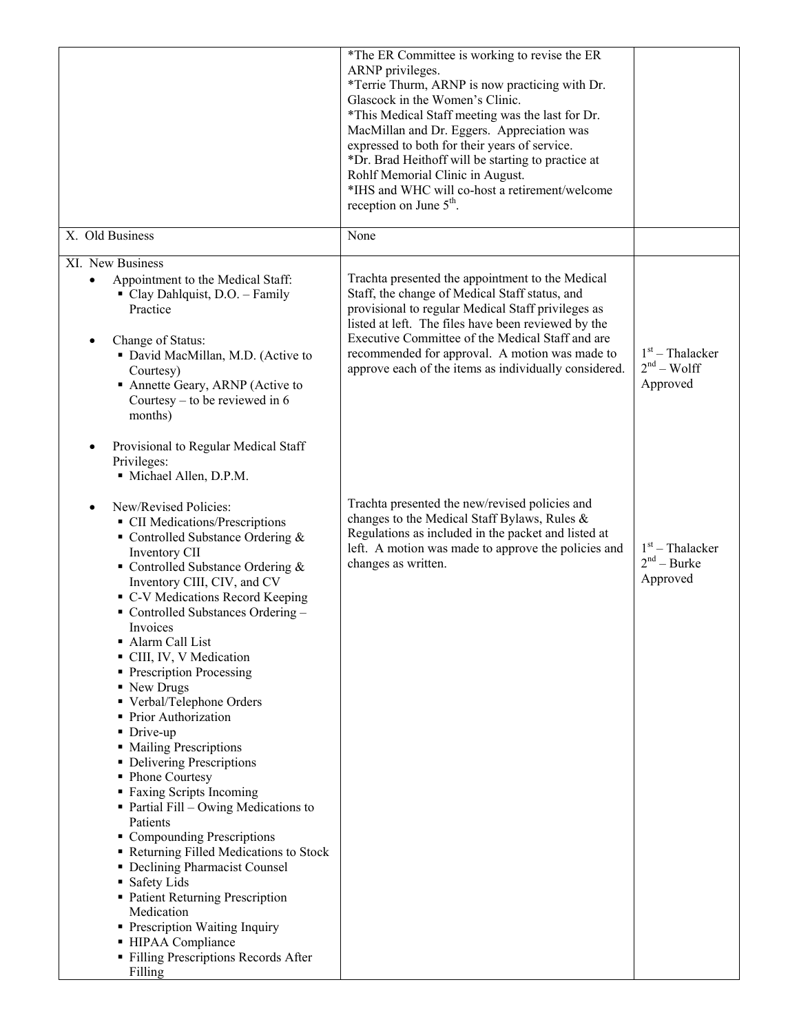|                                                                                                                                                                                                                                                                                                                                                                                                                                                                                                                                                                                                                                                                                                                                                                                                                                                                                                                                         | *The ER Committee is working to revise the ER<br>ARNP privileges.<br>*Terrie Thurm, ARNP is now practicing with Dr.<br>Glascock in the Women's Clinic.<br>*This Medical Staff meeting was the last for Dr.<br>MacMillan and Dr. Eggers. Appreciation was<br>expressed to both for their years of service.<br>*Dr. Brad Heithoff will be starting to practice at<br>Rohlf Memorial Clinic in August.<br>*IHS and WHC will co-host a retirement/welcome<br>reception on June 5 <sup>th</sup> . |                                                |
|-----------------------------------------------------------------------------------------------------------------------------------------------------------------------------------------------------------------------------------------------------------------------------------------------------------------------------------------------------------------------------------------------------------------------------------------------------------------------------------------------------------------------------------------------------------------------------------------------------------------------------------------------------------------------------------------------------------------------------------------------------------------------------------------------------------------------------------------------------------------------------------------------------------------------------------------|----------------------------------------------------------------------------------------------------------------------------------------------------------------------------------------------------------------------------------------------------------------------------------------------------------------------------------------------------------------------------------------------------------------------------------------------------------------------------------------------|------------------------------------------------|
| X. Old Business                                                                                                                                                                                                                                                                                                                                                                                                                                                                                                                                                                                                                                                                                                                                                                                                                                                                                                                         | None                                                                                                                                                                                                                                                                                                                                                                                                                                                                                         |                                                |
| XI. New Business<br>Appointment to the Medical Staff:<br>$\bullet$<br>Clay Dahlquist, D.O. - Family<br>Practice<br>Change of Status:<br>• David MacMillan, M.D. (Active to<br>Courtesy)<br>• Annette Geary, ARNP (Active to<br>Courtesy – to be reviewed in $6$<br>months)<br>Provisional to Regular Medical Staff<br>Privileges:                                                                                                                                                                                                                                                                                                                                                                                                                                                                                                                                                                                                       | Trachta presented the appointment to the Medical<br>Staff, the change of Medical Staff status, and<br>provisional to regular Medical Staff privileges as<br>listed at left. The files have been reviewed by the<br>Executive Committee of the Medical Staff and are<br>recommended for approval. A motion was made to<br>approve each of the items as individually considered.                                                                                                               | $1st$ – Thalacker<br>$2nd - Wolf$<br>Approved  |
| Michael Allen, D.P.M.<br>New/Revised Policies:<br>• CII Medications/Prescriptions<br>• Controlled Substance Ordering $&$<br>Inventory CII<br>• Controlled Substance Ordering $&$<br>Inventory CIII, CIV, and CV<br>• C-V Medications Record Keeping<br>• Controlled Substances Ordering -<br>Invoices<br>Alarm Call List<br>CIII, IV, V Medication<br>• Prescription Processing<br>• New Drugs<br>• Verbal/Telephone Orders<br>• Prior Authorization<br>• Drive-up<br>• Mailing Prescriptions<br>• Delivering Prescriptions<br>• Phone Courtesy<br>• Faxing Scripts Incoming<br>$\blacksquare$ Partial Fill – Owing Medications to<br>Patients<br>• Compounding Prescriptions<br>Returning Filled Medications to Stock<br>• Declining Pharmacist Counsel<br>• Safety Lids<br>• Patient Returning Prescription<br>Medication<br>• Prescription Waiting Inquiry<br>- HIPAA Compliance<br>• Filling Prescriptions Records After<br>Filling | Trachta presented the new/revised policies and<br>changes to the Medical Staff Bylaws, Rules &<br>Regulations as included in the packet and listed at<br>left. A motion was made to approve the policies and<br>changes as written.                                                                                                                                                                                                                                                          | $1st$ – Thalacker<br>$2nd - Burke$<br>Approved |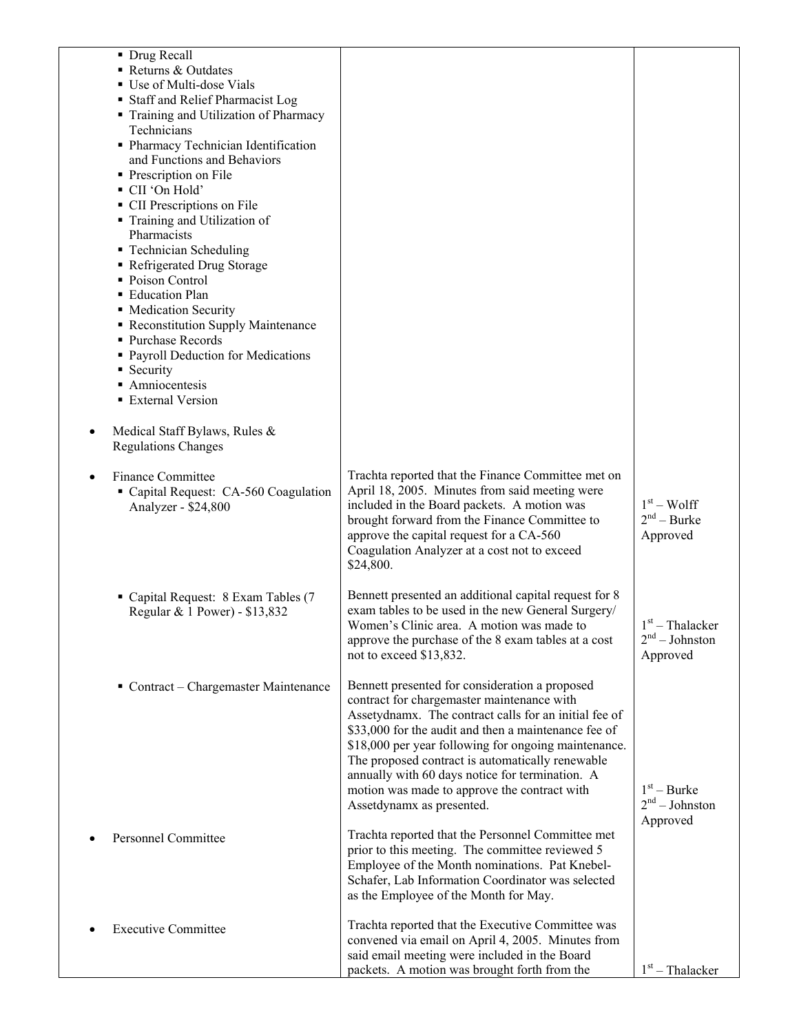| • Drug Recall<br>Returns & Outdates                         |                                                                                                              |                                       |
|-------------------------------------------------------------|--------------------------------------------------------------------------------------------------------------|---------------------------------------|
| ■ Use of Multi-dose Vials                                   |                                                                                                              |                                       |
| • Staff and Relief Pharmacist Log                           |                                                                                                              |                                       |
| Training and Utilization of Pharmacy                        |                                                                                                              |                                       |
| Technicians                                                 |                                                                                                              |                                       |
| • Pharmacy Technician Identification                        |                                                                                                              |                                       |
| and Functions and Behaviors<br>• Prescription on File       |                                                                                                              |                                       |
| • CII 'On Hold'                                             |                                                                                                              |                                       |
| • CII Prescriptions on File                                 |                                                                                                              |                                       |
| • Training and Utilization of                               |                                                                                                              |                                       |
| Pharmacists                                                 |                                                                                                              |                                       |
| • Technician Scheduling                                     |                                                                                                              |                                       |
| • Refrigerated Drug Storage<br>• Poison Control             |                                                                                                              |                                       |
| • Education Plan                                            |                                                                                                              |                                       |
| • Medication Security                                       |                                                                                                              |                                       |
| Reconstitution Supply Maintenance                           |                                                                                                              |                                       |
| • Purchase Records                                          |                                                                                                              |                                       |
| • Payroll Deduction for Medications                         |                                                                                                              |                                       |
| • Security<br>• Amniocentesis                               |                                                                                                              |                                       |
| <b>External Version</b>                                     |                                                                                                              |                                       |
|                                                             |                                                                                                              |                                       |
| Medical Staff Bylaws, Rules &<br><b>Regulations Changes</b> |                                                                                                              |                                       |
| <b>Finance Committee</b>                                    | Trachta reported that the Finance Committee met on                                                           |                                       |
| Capital Request: CA-560 Coagulation                         | April 18, 2005. Minutes from said meeting were                                                               |                                       |
| Analyzer - \$24,800                                         | included in the Board packets. A motion was                                                                  | $1st - Wolf$                          |
|                                                             | brought forward from the Finance Committee to                                                                | $2nd$ – Burke                         |
|                                                             | approve the capital request for a CA-560<br>Coagulation Analyzer at a cost not to exceed                     | Approved                              |
|                                                             | \$24,800.                                                                                                    |                                       |
|                                                             |                                                                                                              |                                       |
| Capital Request: 8 Exam Tables (7                           | Bennett presented an additional capital request for 8                                                        |                                       |
| Regular & 1 Power) - \$13,832                               | exam tables to be used in the new General Surgery/                                                           |                                       |
|                                                             | Women's Clinic area. A motion was made to<br>approve the purchase of the 8 exam tables at a cost             | $1st$ – Thalacker<br>$2nd - Johnston$ |
|                                                             | not to exceed \$13,832.                                                                                      | Approved                              |
|                                                             |                                                                                                              |                                       |
| Contract – Chargemaster Maintenance                         | Bennett presented for consideration a proposed                                                               |                                       |
|                                                             | contract for chargemaster maintenance with                                                                   |                                       |
|                                                             | Assetydnamx. The contract calls for an initial fee of                                                        |                                       |
|                                                             | \$33,000 for the audit and then a maintenance fee of<br>\$18,000 per year following for ongoing maintenance. |                                       |
|                                                             | The proposed contract is automatically renewable                                                             |                                       |
|                                                             | annually with 60 days notice for termination. A                                                              |                                       |
|                                                             | motion was made to approve the contract with                                                                 | $1st - Burke$                         |
|                                                             | Assetdynamx as presented.                                                                                    | $2nd - Johnson$                       |
|                                                             | Trachta reported that the Personnel Committee met                                                            | Approved                              |
| <b>Personnel Committee</b>                                  | prior to this meeting. The committee reviewed 5                                                              |                                       |
|                                                             | Employee of the Month nominations. Pat Knebel-                                                               |                                       |
|                                                             | Schafer, Lab Information Coordinator was selected                                                            |                                       |
|                                                             | as the Employee of the Month for May.                                                                        |                                       |
|                                                             |                                                                                                              |                                       |
| <b>Executive Committee</b>                                  | Trachta reported that the Executive Committee was<br>convened via email on April 4, 2005. Minutes from       |                                       |
|                                                             | said email meeting were included in the Board                                                                |                                       |
|                                                             | packets. A motion was brought forth from the                                                                 | $1st$ – Thalacker                     |